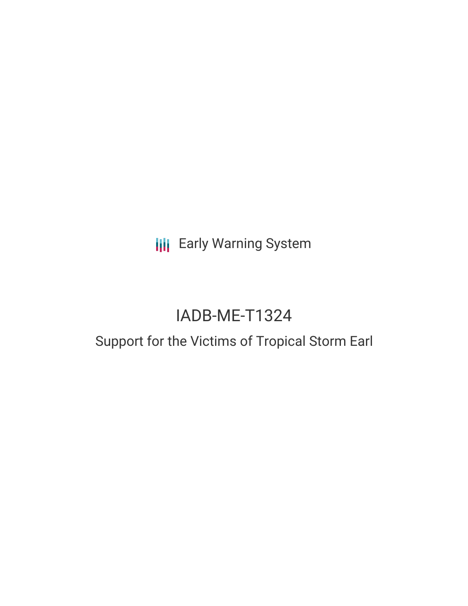**III** Early Warning System

# IADB-ME-T1324

# Support for the Victims of Tropical Storm Earl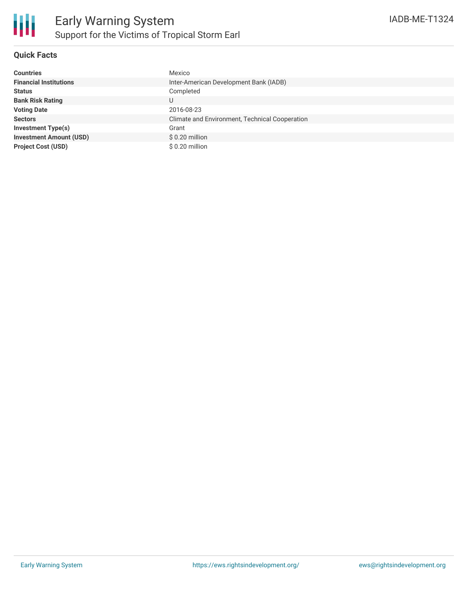

### **Quick Facts**

| <b>Countries</b>               | Mexico                                         |
|--------------------------------|------------------------------------------------|
| <b>Financial Institutions</b>  | Inter-American Development Bank (IADB)         |
| <b>Status</b>                  | Completed                                      |
| <b>Bank Risk Rating</b>        |                                                |
| <b>Voting Date</b>             | 2016-08-23                                     |
| <b>Sectors</b>                 | Climate and Environment, Technical Cooperation |
| <b>Investment Type(s)</b>      | Grant                                          |
| <b>Investment Amount (USD)</b> | $$0.20$ million                                |
| <b>Project Cost (USD)</b>      | \$0.20 million                                 |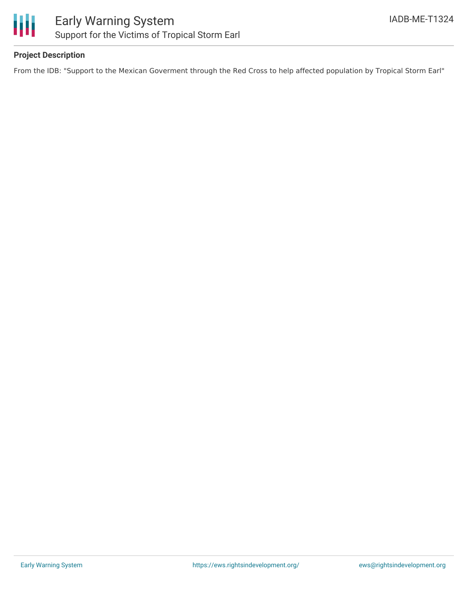

## **Project Description**

From the IDB: "Support to the Mexican Goverment through the Red Cross to help affected population by Tropical Storm Earl"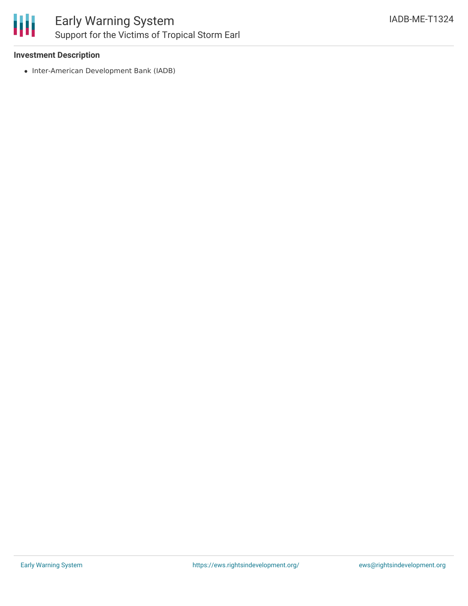

#### **Investment Description**

• Inter-American Development Bank (IADB)